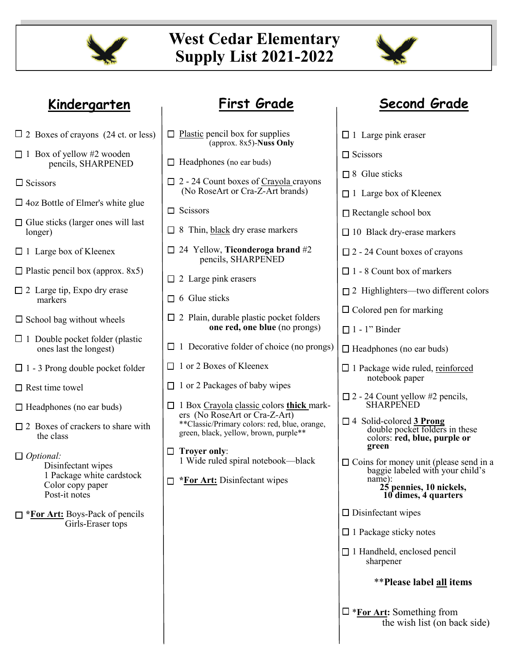

# **West Cedar Elementary Supply List 2021-2022**



- $\Box$  2 Boxes of crayons (24 ct. or less)
- $\Box$  1 Box of yellow #2 wooden pencils, SHARPENED
- $\Box$  Scissors
- 4oz Bottle of Elmer's white glue
- $\Box$  Glue sticks (larger ones will last longer)
- $\Box$  1 Large box of Kleenex
- $\Box$  Plastic pencil box (approx. 8x5)
- $\Box$  2 Large tip, Expo dry erase markers
- $\square$  School bag without wheels
- $\Box$  1 Double pocket folder (plastic ones last the longest)
- $\Box$  1 3 Prong double pocket folder
- $\Box$  Rest time towel
- $\Box$  Headphones (no ear buds)
- $\Box$  2 Boxes of crackers to share with the class
- *Optional:*  Disinfectant wipes 1 Package white cardstock Color copy paper Post-it notes
- **\*For Art:** Boys-Pack of pencils Girls-Eraser tops

| Kindergarten                                                                                                                                                                                                                                                                                                                                                                                                     | <b>First Grade</b>                                                                                                                                                                                                                                                                                                                                                                                                                                                                                                                                                                                      | <b>Second Grade</b>                                                                                                                                                                                                                                                                                                                                                                                                                                                                                                                                                                                                         |
|------------------------------------------------------------------------------------------------------------------------------------------------------------------------------------------------------------------------------------------------------------------------------------------------------------------------------------------------------------------------------------------------------------------|---------------------------------------------------------------------------------------------------------------------------------------------------------------------------------------------------------------------------------------------------------------------------------------------------------------------------------------------------------------------------------------------------------------------------------------------------------------------------------------------------------------------------------------------------------------------------------------------------------|-----------------------------------------------------------------------------------------------------------------------------------------------------------------------------------------------------------------------------------------------------------------------------------------------------------------------------------------------------------------------------------------------------------------------------------------------------------------------------------------------------------------------------------------------------------------------------------------------------------------------------|
| xes of crayons (24 ct. or less)                                                                                                                                                                                                                                                                                                                                                                                  | $\Box$ Plastic pencil box for supplies<br>(approx. 8x5)-Nuss Only                                                                                                                                                                                                                                                                                                                                                                                                                                                                                                                                       | $\Box$ 1 Large pink eraser                                                                                                                                                                                                                                                                                                                                                                                                                                                                                                                                                                                                  |
| x of yellow #2 wooden<br>pencils, SHARPENED<br>ors                                                                                                                                                                                                                                                                                                                                                               | $\Box$ Headphones (no ear buds)<br>$\Box$ 2 - 24 Count boxes of Crayola crayons                                                                                                                                                                                                                                                                                                                                                                                                                                                                                                                         | $\Box$ Scissors<br>$\Box$ 8 Glue sticks                                                                                                                                                                                                                                                                                                                                                                                                                                                                                                                                                                                     |
| ottle of Elmer's white glue<br>sticks (larger ones will last<br>r)                                                                                                                                                                                                                                                                                                                                               | (No RoseArt or Cra-Z-Art brands)<br>$\Box$ Scissors<br>$\Box$ 8 Thin, black dry erase markers                                                                                                                                                                                                                                                                                                                                                                                                                                                                                                           | $\Box$ 1 Large box of Kleenex<br>$\Box$ Rectangle school box<br>$\Box$ 10 Black dry-erase markers                                                                                                                                                                                                                                                                                                                                                                                                                                                                                                                           |
| ge box of Kleenex<br>c pencil box (approx. $8x5$ )<br>ge tip, Expo dry erase<br>ırkers<br>ol bag without wheels<br>uble pocket folder (plastic<br>es last the longest)<br>Prong double pocket folder<br>ime towel<br>phones (no ear buds)<br>xes of crackers to share with<br>e class<br>nal:<br>Disinfectant wipes<br>Package white cardstock<br>Color copy paper<br>Post-it notes<br>Art: Boys-Pack of pencils | $\Box$ 24 Yellow, Ticonderoga brand #2<br>pencils, SHARPENED<br>$\Box$ 2 Large pink erasers<br>$\Box$ 6 Glue sticks<br>$\Box$ 2 Plain, durable plastic pocket folders<br>one red, one blue (no prongs)<br>$\Box$ 1 Decorative folder of choice (no prongs)<br>$\Box$ 1 or 2 Boxes of Kleenex<br>$\Box$ 1 or 2 Packages of baby wipes<br>1 Box Crayola classic colors thick mark-<br>ers (No RoseArt or Cra-Z-Art)<br>**Classic/Primary colors: red, blue, orange,<br>green, black, yellow, brown, purple**<br>$\Box$ Troyer only:<br>1 Wide ruled spiral notebook—black<br>*For Art: Disinfectant wipes | $\Box$ 2 - 24 Count boxes of crayons<br>$\Box$ 1 - 8 Count box of markers<br>$\Box$ 2 Highlighters—two different of<br>$\Box$ Colored pen for marking<br>$\Box$ 1 - 1" Binder<br>$\Box$ Headphones (no ear buds)<br>$\square$ 1 Package wide ruled, reinforce<br>notebook paper<br>$\Box$ 2 - 24 Count yellow #2 pencils,<br><b>SHARPENED</b><br>$\Box$ 4 Solid-colored 3 Prong<br>double pocket folders in the<br>colors: red, blue, purple of<br>green<br>$\Box$ Coins for money unit (please se<br>baggie labeled with your ch<br>name):<br>25 pennies, 10 nickels,<br>10 dimes, 4 quarters<br>$\Box$ Disinfectant wipes |
| Girls-Eraser tops                                                                                                                                                                                                                                                                                                                                                                                                |                                                                                                                                                                                                                                                                                                                                                                                                                                                                                                                                                                                                         | $\Box$ 1 Package sticky notes<br>$\Box$ 1 Handheld, enclosed pencil<br>sharpener<br><b>**Please label all item</b>                                                                                                                                                                                                                                                                                                                                                                                                                                                                                                          |

|         | $\Box$ 1 Large pink eraser                                                                                                                     |
|---------|------------------------------------------------------------------------------------------------------------------------------------------------|
|         | $\Box$ Scissors                                                                                                                                |
|         | $\Box$ 8 Glue sticks                                                                                                                           |
|         | $\Box$ 1 Large box of Kleenex                                                                                                                  |
|         | $\Box$ Rectangle school box                                                                                                                    |
|         | $\Box$ 10 Black dry-erase markers                                                                                                              |
|         | $\Box$ 2 - 24 Count boxes of crayons                                                                                                           |
|         | $\Box$ 1 - 8 Count box of markers                                                                                                              |
|         | $\Box$ 2 Highlighters—two different colors                                                                                                     |
|         | $\Box$ Colored pen for marking                                                                                                                 |
|         | $\Box$ 1 - 1" Binder                                                                                                                           |
| $\big)$ | $\Box$ Headphones (no ear buds)                                                                                                                |
|         | $\square$ 1 Package wide ruled, reinforced<br>notebook paper                                                                                   |
|         | $\Box$ 2 - 24 Count yellow #2 pencils,<br>SHARPENED                                                                                            |
|         | $\Box$ 4 Solid-colored 3 Prong<br>double pocket folders in these<br>colors: red, blue, purple or<br>green                                      |
|         | $\Box$ Coins for money unit (please send in a<br>baggie labeled with your child's<br>name):<br>25 pennies, 10 nickels,<br>10 dimes, 4 quarters |
|         | $\Box$ Disinfectant wipes                                                                                                                      |
|         | $\Box$ 1 Package sticky notes                                                                                                                  |
|         | $\Box$ 1 Handheld, enclosed pencil<br>sharpener                                                                                                |

\*\***Please label all items**

\***For Art:** Something from the wish list (on back side)